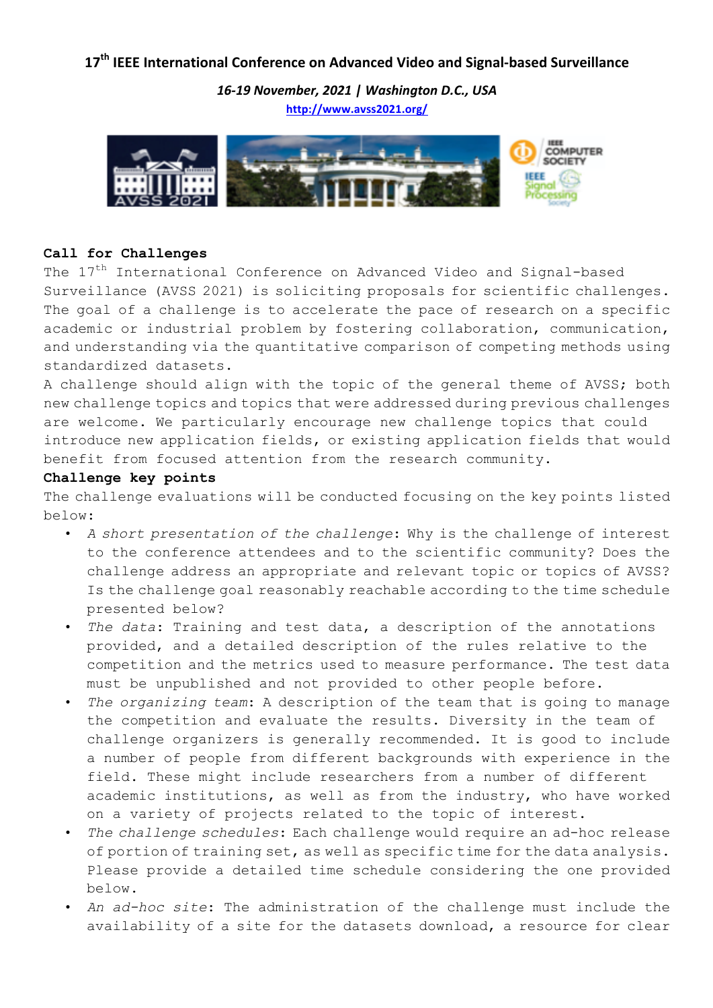## 17<sup>th</sup> IEEE International Conference on Advanced Video and Signal-based Surveillance

*16-19 November, 2021 | Washington D.C., USA* **http://www.avss2021.org/**



## **Call for Challenges**

The 17<sup>th</sup> International Conference on Advanced Video and Signal-based Surveillance (AVSS 2021) is soliciting proposals for scientific challenges. The goal of a challenge is to accelerate the pace of research on a specific academic or industrial problem by fostering collaboration, communication, and understanding via the quantitative comparison of competing methods using standardized datasets.

A challenge should align with the topic of the general theme of AVSS; both new challenge topics and topics that were addressed during previous challenges are welcome. We particularly encourage new challenge topics that could introduce new application fields, or existing application fields that would benefit from focused attention from the research community.

## **Challenge key points**

The challenge evaluations will be conducted focusing on the key points listed below:

- *A short presentation of the challenge*: Why is the challenge of interest to the conference attendees and to the scientific community? Does the challenge address an appropriate and relevant topic or topics of AVSS? Is the challenge goal reasonably reachable according to the time schedule presented below?
- *The data*: Training and test data, a description of the annotations provided, and a detailed description of the rules relative to the competition and the metrics used to measure performance. The test data must be unpublished and not provided to other people before.
- *The organizing team*: A description of the team that is going to manage the competition and evaluate the results. Diversity in the team of challenge organizers is generally recommended. It is good to include a number of people from different backgrounds with experience in the field. These might include researchers from a number of different academic institutions, as well as from the industry, who have worked on a variety of projects related to the topic of interest.
- *The challenge schedules*: Each challenge would require an ad-hoc release of portion of training set, as well as specific time for the data analysis. Please provide a detailed time schedule considering the one provided below.
- *An ad-hoc site*: The administration of the challenge must include the availability of a site for the datasets download, a resource for clear